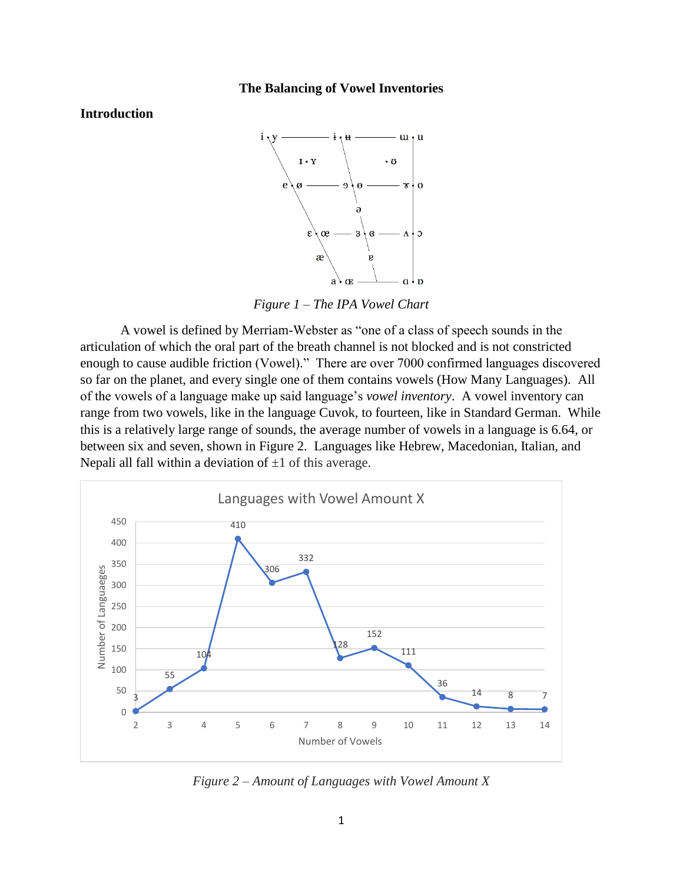#### **The Balancing of Vowel Inventories**

# **Introduction**



*Figure 1 – The IPA Vowel Chart*

A vowel is defined by Merriam-Webster as "one of a class of speech sounds in the articulation of which the oral part of the breath channel is not blocked and is not constricted enough to cause audible friction (Vowel)." There are over 7000 confirmed languages discovered so far on the planet, and every single one of them contains vowels (How Many Languages). All of the vowels of a language make up said language's *vowel inventory*. A vowel inventory can range from two vowels, like in the language Cuvok, to fourteen, like in Standard German. While this is a relatively large range of sounds, the average number of vowels in a language is 6.64, or between six and seven, shown in Figure 2. Languages like Hebrew, Macedonian, Italian, and Nepali all fall within a deviation of  $\pm 1$  of this average.



*Figure 2 – Amount of Languages with Vowel Amount X*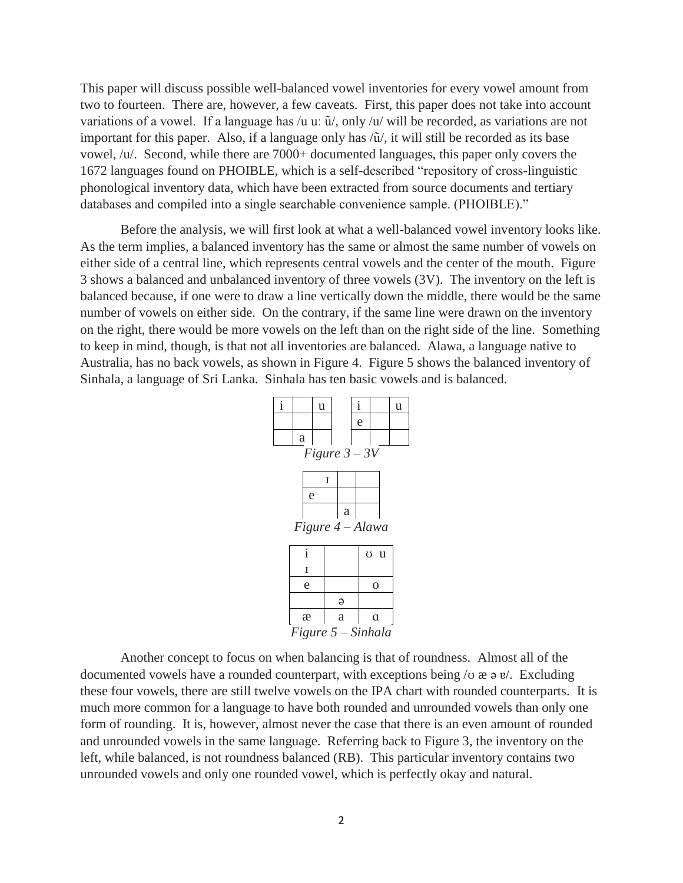This paper will discuss possible well-balanced vowel inventories for every vowel amount from two to fourteen. There are, however, a few caveats. First, this paper does not take into account variations of a vowel. If a language has /u u:  $\tilde{u}$ /, only /u/ will be recorded, as variations are not important for this paper. Also, if a language only has /ũ/, it will still be recorded as its base vowel, /u/. Second, while there are 7000+ documented languages, this paper only covers the 1672 languages found on PHOIBLE, which is a self-described "repository of cross-linguistic phonological inventory data, which have been extracted from source documents and tertiary databases and compiled into a single searchable convenience sample. (PHOIBLE)."

Before the analysis, we will first look at what a well-balanced vowel inventory looks like. As the term implies, a balanced inventory has the same or almost the same number of vowels on either side of a central line, which represents central vowels and the center of the mouth. Figure 3 shows a balanced and unbalanced inventory of three vowels (3V). The inventory on the left is balanced because, if one were to draw a line vertically down the middle, there would be the same number of vowels on either side. On the contrary, if the same line were drawn on the inventory on the right, there would be more vowels on the left than on the right side of the line. Something to keep in mind, though, is that not all inventories are balanced. Alawa, a language native to Australia, has no back vowels, as shown in Figure 4. Figure 5 shows the balanced inventory of Sinhala, a language of Sri Lanka. Sinhala has ten basic vowels and is balanced.



Another concept to focus on when balancing is that of roundness. Almost all of the documented vowels have a rounded counterpart, with exceptions being  $\alpha \neq e$ . Excluding these four vowels, there are still twelve vowels on the IPA chart with rounded counterparts. It is much more common for a language to have both rounded and unrounded vowels than only one form of rounding. It is, however, almost never the case that there is an even amount of rounded and unrounded vowels in the same language. Referring back to Figure 3, the inventory on the left, while balanced, is not roundness balanced (RB). This particular inventory contains two unrounded vowels and only one rounded vowel, which is perfectly okay and natural.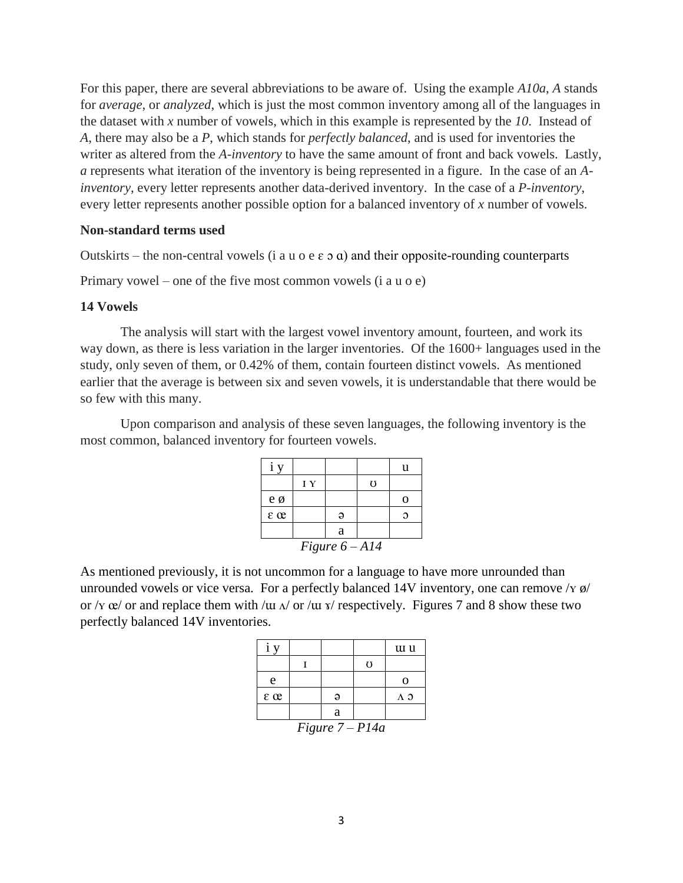For this paper, there are several abbreviations to be aware of. Using the example *A10a*, *A* stands for *average*, or *analyzed*, which is just the most common inventory among all of the languages in the dataset with *x* number of vowels, which in this example is represented by the *10*. Instead of *A*, there may also be a *P*, which stands for *perfectly balanced*, and is used for inventories the writer as altered from the *A-inventory* to have the same amount of front and back vowels. Lastly, *a* represents what iteration of the inventory is being represented in a figure. In the case of an *Ainventory*, every letter represents another data-derived inventory. In the case of a *P-inventory*, every letter represents another possible option for a balanced inventory of *x* number of vowels.

#### **Non-standard terms used**

Outskirts – the non-central vowels (i a u o e  $\varepsilon$  o a) and their opposite-rounding counterparts

Primary vowel – one of the five most common vowels (i a u o e)

#### **14 Vowels**

The analysis will start with the largest vowel inventory amount, fourteen, and work its way down, as there is less variation in the larger inventories. Of the 1600+ languages used in the study, only seven of them, or 0.42% of them, contain fourteen distinct vowels. As mentioned earlier that the average is between six and seven vowels, it is understandable that there would be so few with this many.

Upon comparison and analysis of these seven languages, the following inventory is the most common, balanced inventory for fourteen vowels.

|                      |    |   |   | u        |  |
|----------------------|----|---|---|----------|--|
|                      | IY |   | Ω |          |  |
| e ø                  |    |   |   | $\Omega$ |  |
| $\varepsilon \alpha$ |    | Э |   | Э        |  |
| a                    |    |   |   |          |  |
| Figure $6 - A14$     |    |   |   |          |  |

As mentioned previously, it is not uncommon for a language to have more unrounded than unrounded vowels or vice versa. For a perfectly balanced 14V inventory, one can remove  $\gamma y \phi$ or / $\gamma$   $\alpha$ / or and replace them with / $\alpha$  / $\alpha$  / $\alpha$  / $\alpha$  / $\alpha$  / $\alpha$  / $\alpha$  / $\alpha$  / $\alpha$  / $\alpha$  / $\alpha$  / $\alpha$  / $\alpha$  / $\alpha$  / $\alpha$  / $\alpha$  / $\alpha$  / $\alpha$  / $\alpha$  / $\alpha$  / $\alpha$  / $\alpha$  / $\alpha$  / $\alpha$  / $\alpha$  / $\alpha$  / $\alpha$  / $\alpha$  / $\alpha$  / $\alpha$  / perfectly balanced 14V inventories.

|                    |  |   |   | tu u |
|--------------------|--|---|---|------|
|                    |  |   | O |      |
| e                  |  |   |   | O    |
| $\epsilon \propto$ |  | ə |   | лэ   |
|                    |  | a |   |      |
| Figure $7 - P14a$  |  |   |   |      |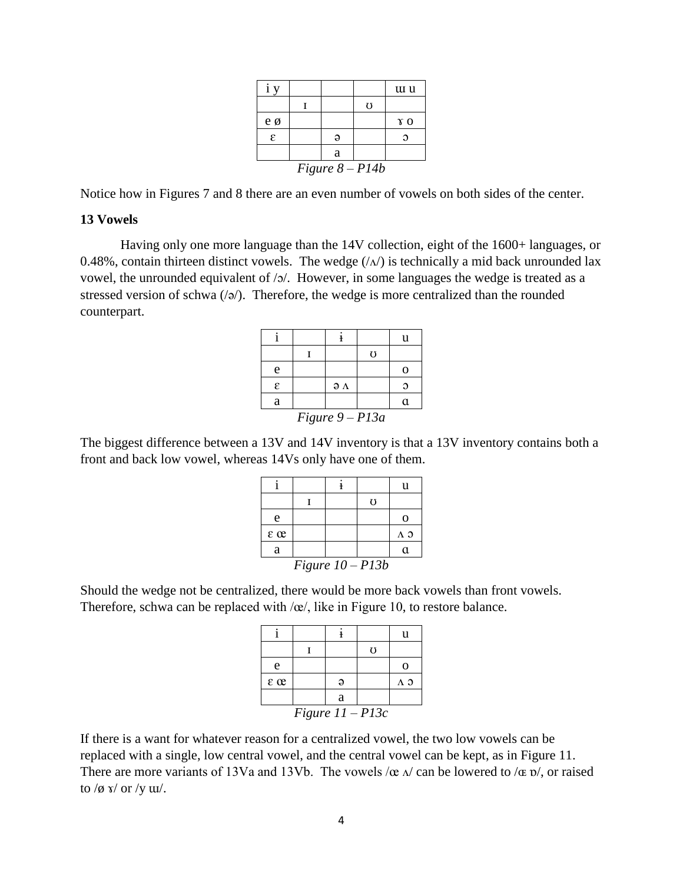| $\mathbf{V}$      |  |   |   | tu u       |
|-------------------|--|---|---|------------|
|                   |  |   | Ō |            |
| e ø               |  |   |   | $\gamma$ o |
| ε                 |  |   |   |            |
|                   |  | a |   |            |
| Figure $8 - P14b$ |  |   |   |            |

Notice how in Figures 7 and 8 there are an even number of vowels on both sides of the center.

#### **13 Vowels**

Having only one more language than the 14V collection, eight of the 1600+ languages, or 0.48%, contain thirteen distinct vowels. The wedge  $(\Lambda)$  is technically a mid back unrounded lax vowel, the unrounded equivalent of /ɔ/. However, in some languages the wedge is treated as a stressed version of schwa  $\langle \cdot | \cdot \rangle$ . Therefore, the wedge is more centralized than the rounded counterpart.

|                   |  |                      |                | u  |
|-------------------|--|----------------------|----------------|----|
|                   |  |                      | $\mathfrak{g}$ |    |
| e                 |  |                      |                | O  |
| ε                 |  | $\partial$ $\Lambda$ |                | О  |
| a                 |  |                      |                | a. |
| Figure $9 - P13a$ |  |                      |                |    |

The biggest difference between a 13V and 14V inventory is that a 13V inventory contains both a front and back low vowel, whereas 14Vs only have one of them.

|                    |  |  |   | u           |
|--------------------|--|--|---|-------------|
|                    |  |  | Ω |             |
| e                  |  |  |   | 0           |
| $\epsilon \propto$ |  |  |   | $\Lambda$ 3 |
| a                  |  |  |   | a           |
| Figure $10 - P13b$ |  |  |   |             |

Should the wedge not be centralized, there would be more back vowels than front vowels. Therefore, schwa can be replaced with  $\alpha/$ , like in Figure 10, to restore balance.

|                    |  |          |   | u  |
|--------------------|--|----------|---|----|
|                    |  |          | U |    |
| e                  |  |          |   |    |
| $\varepsilon$ or   |  | $\Theta$ |   | ΛЭ |
|                    |  | a        |   |    |
| Figure $11 - P13c$ |  |          |   |    |

If there is a want for whatever reason for a centralized vowel, the two low vowels can be replaced with a single, low central vowel, and the central vowel can be kept, as in Figure 11. There are more variants of 13Va and 13Vb. The vowels  $/\infty$   $\Lambda$  can be lowered to  $/\infty$  p/, or raised to  $/\phi$  s/ or  $/\gamma$  w/.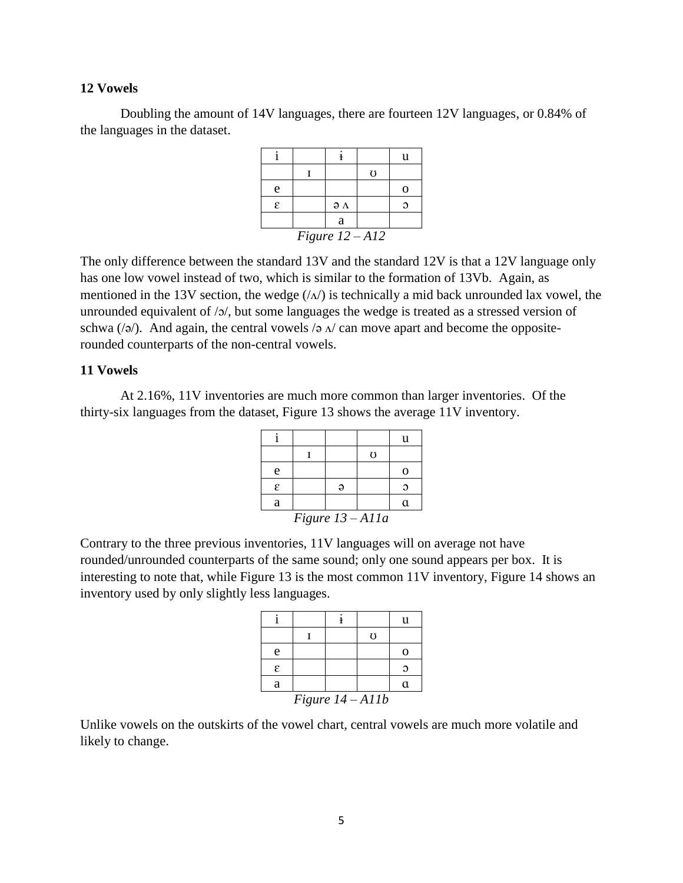Doubling the amount of 14V languages, there are fourteen 12V languages, or 0.84% of the languages in the dataset.

|                   |  |                      | $\mathfrak{g}$ |   |
|-------------------|--|----------------------|----------------|---|
| e                 |  |                      |                | 0 |
| ε                 |  | $\partial$ $\Lambda$ |                | Ω |
|                   |  | a                    |                |   |
| Figure $12 - A12$ |  |                      |                |   |

The only difference between the standard 13V and the standard 12V is that a 12V language only has one low vowel instead of two, which is similar to the formation of 13Vb. Again, as mentioned in the 13V section, the wedge  $(\sqrt{\Lambda})$  is technically a mid back unrounded lax vowel, the unrounded equivalent of /ɔ/, but some languages the wedge is treated as a stressed version of schwa ( $\sqrt{a}$ ). And again, the central vowels  $\sqrt{a}$  as  $\sqrt{b}$  can move apart and become the oppositerounded counterparts of the non-central vowels.

# **11 Vowels**

At 2.16%, 11V inventories are much more common than larger inventories. Of the thirty-six languages from the dataset, Figure 13 shows the average 11V inventory.

|                    |  |  |                | u |
|--------------------|--|--|----------------|---|
|                    |  |  | $\mathfrak{g}$ |   |
| e                  |  |  |                | ∩ |
| E                  |  |  |                |   |
| a                  |  |  |                | α |
| Figure $13 - A11a$ |  |  |                |   |

Contrary to the three previous inventories, 11V languages will on average not have rounded/unrounded counterparts of the same sound; only one sound appears per box. It is interesting to note that, while Figure 13 is the most common 11V inventory, Figure 14 shows an inventory used by only slightly less languages.

|                  |  |  |                | u        |
|------------------|--|--|----------------|----------|
|                  |  |  | $\mathfrak{g}$ |          |
| e                |  |  |                |          |
| ε                |  |  |                |          |
| a                |  |  |                | $\alpha$ |
| Figure 14 - Allb |  |  |                |          |

Unlike vowels on the outskirts of the vowel chart, central vowels are much more volatile and likely to change.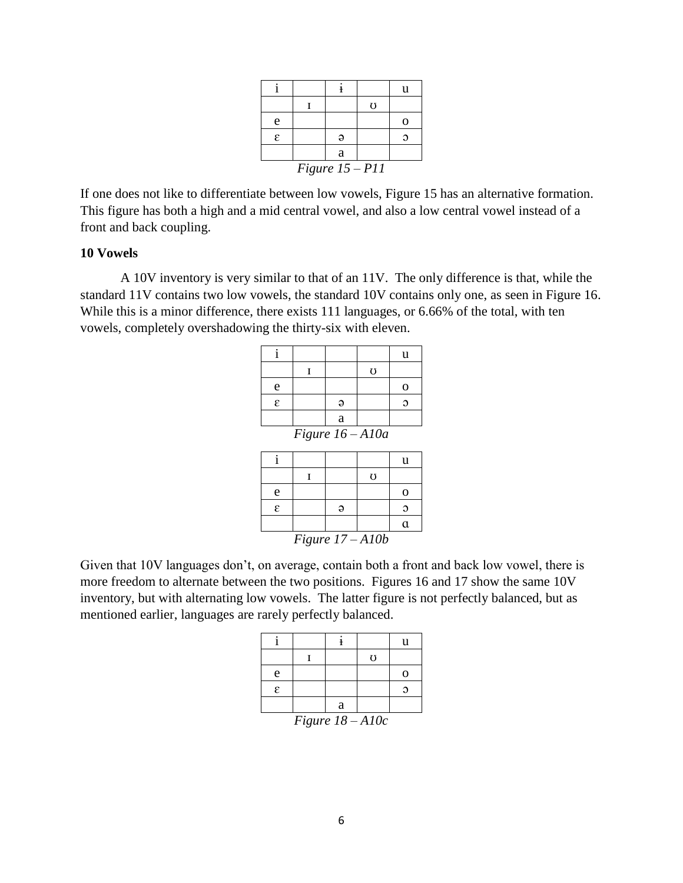|                   |  |   |                | u |
|-------------------|--|---|----------------|---|
|                   |  |   | $\mathfrak{g}$ |   |
| e                 |  |   |                |   |
| ε                 |  | Э |                | Э |
|                   |  | a |                |   |
| Figure $15 - P11$ |  |   |                |   |

If one does not like to differentiate between low vowels, Figure 15 has an alternative formation. This figure has both a high and a mid central vowel, and also a low central vowel instead of a front and back coupling.

# **10 Vowels**

A 10V inventory is very similar to that of an 11V. The only difference is that, while the standard 11V contains two low vowels, the standard 10V contains only one, as seen in Figure 16. While this is a minor difference, there exists 111 languages, or 6.66% of the total, with ten vowels, completely overshadowing the thirty-six with eleven.

|                    |  |   |   | u |  |
|--------------------|--|---|---|---|--|
|                    |  |   | Ō |   |  |
| e                  |  |   |   | റ |  |
| £.                 |  |   |   |   |  |
|                    |  | a |   |   |  |
| Figure $16 - A10a$ |  |   |   |   |  |

|                    |  |  |                | u  |  |
|--------------------|--|--|----------------|----|--|
|                    |  |  | $\mathfrak{g}$ |    |  |
| e                  |  |  |                | O  |  |
| ε                  |  |  |                |    |  |
|                    |  |  |                | a. |  |
| Figure $17 - A10b$ |  |  |                |    |  |

Given that 10V languages don't, on average, contain both a front and back low vowel, there is more freedom to alternate between the two positions. Figures 16 and 17 show the same 10V inventory, but with alternating low vowels. The latter figure is not perfectly balanced, but as mentioned earlier, languages are rarely perfectly balanced.

|                    |  |   |   | u |
|--------------------|--|---|---|---|
|                    |  |   | U |   |
| e                  |  |   |   | O |
| ε                  |  |   |   |   |
|                    |  | a |   |   |
| Figure $18 - 410c$ |  |   |   |   |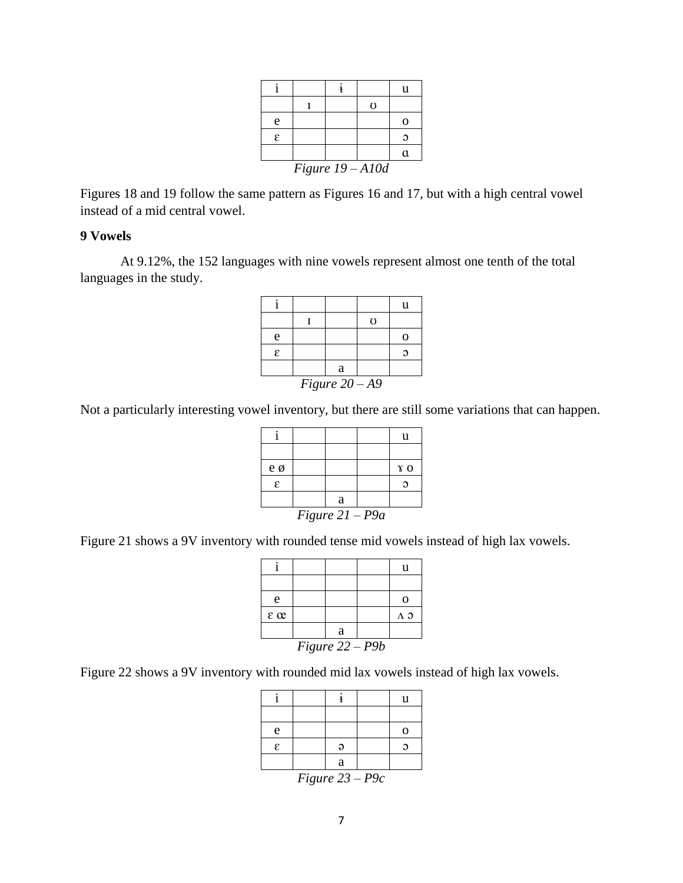|   |                    |  |                | u |
|---|--------------------|--|----------------|---|
|   |                    |  | $\mathfrak{g}$ |   |
| e |                    |  |                |   |
| ε |                    |  |                | Э |
|   |                    |  |                | a |
|   | Figure $19 - A10d$ |  |                |   |

Figures 18 and 19 follow the same pattern as Figures 16 and 17, but with a high central vowel instead of a mid central vowel.

## **9 Vowels**

At 9.12%, the 152 languages with nine vowels represent almost one tenth of the total languages in the study.

|                  |  |   |                | 11 |
|------------------|--|---|----------------|----|
|                  |  |   | $\mathfrak{g}$ |    |
| e                |  |   |                |    |
| ε                |  |   |                |    |
|                  |  | a |                |    |
| Figure $20 - A9$ |  |   |                |    |

Not a particularly interesting vowel inventory, but there are still some variations that can happen.

|                   |  |   |  | u          |
|-------------------|--|---|--|------------|
|                   |  |   |  |            |
| e ø               |  |   |  | $\gamma$ o |
| ε                 |  |   |  |            |
|                   |  | a |  |            |
| Figure $21 - P9a$ |  |   |  |            |

Figure 21 shows a 9V inventory with rounded tense mid vowels instead of high lax vowels.

| e                    |  |   |  | O           |
|----------------------|--|---|--|-------------|
| $\varepsilon \infty$ |  |   |  | $\Lambda$ 3 |
|                      |  | a |  |             |
| Figure $22 - P9b$    |  |   |  |             |

Figure 22 shows a 9V inventory with rounded mid lax vowels instead of high lax vowels.

|   |                          |               |               | u        |
|---|--------------------------|---------------|---------------|----------|
|   |                          |               |               |          |
| e |                          |               |               | 0        |
| ε |                          | Э             |               | $\Omega$ |
|   |                          | a             |               |          |
|   | $\overline{\phantom{a}}$ | $\sim$ $\sim$ | $\sim$ $\sim$ |          |

*Figure 23 – P9c*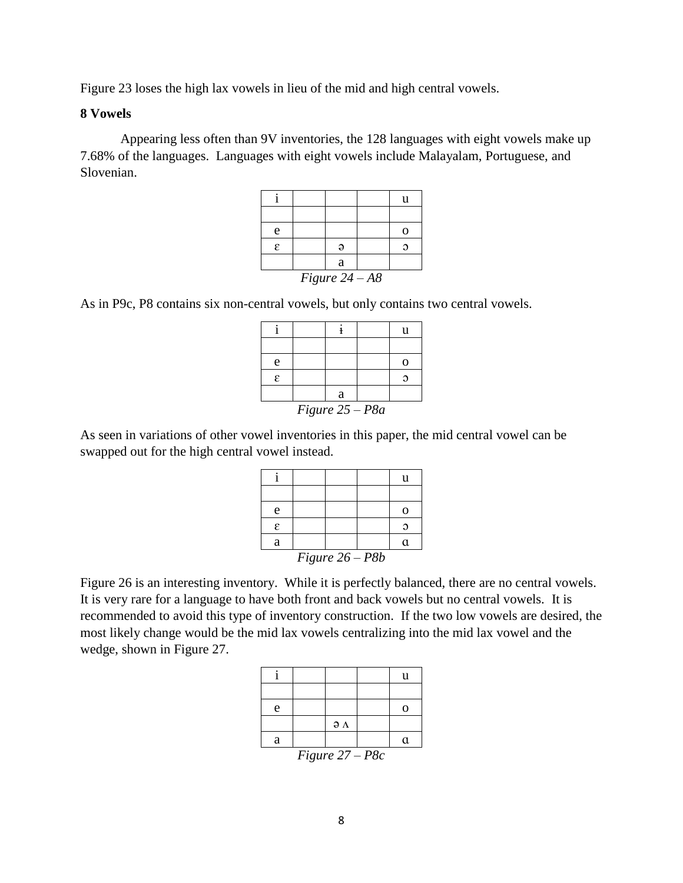Figure 23 loses the high lax vowels in lieu of the mid and high central vowels.

# **8 Vowels**

Appearing less often than 9V inventories, the 128 languages with eight vowels make up 7.68% of the languages. Languages with eight vowels include Malayalam, Portuguese, and Slovenian.

|   |                  |   |  | u |
|---|------------------|---|--|---|
|   |                  |   |  |   |
| e |                  |   |  |   |
| ε |                  | э |  |   |
|   |                  | a |  |   |
|   | Figure $24 - A8$ |   |  |   |

As in P9c, P8 contains six non-central vowels, but only contains two central vowels.

|                   |  |   |  | u |
|-------------------|--|---|--|---|
|                   |  |   |  |   |
| e                 |  |   |  |   |
| ε                 |  |   |  |   |
|                   |  | a |  |   |
| Figure $25 - P8a$ |  |   |  |   |

As seen in variations of other vowel inventories in this paper, the mid central vowel can be swapped out for the high central vowel instead.

|                   |  |  |  | u |
|-------------------|--|--|--|---|
|                   |  |  |  |   |
| e                 |  |  |  | O |
| ε                 |  |  |  |   |
| a                 |  |  |  | α |
| Figure $26 - P8b$ |  |  |  |   |

Figure 26 is an interesting inventory. While it is perfectly balanced, there are no central vowels. It is very rare for a language to have both front and back vowels but no central vowels. It is recommended to avoid this type of inventory construction. If the two low vowels are desired, the most likely change would be the mid lax vowels centralizing into the mid lax vowel and the wedge, shown in Figure 27.

|                   |  |                      |  | u |
|-------------------|--|----------------------|--|---|
|                   |  |                      |  |   |
| e                 |  |                      |  | О |
|                   |  | $\partial$ $\Lambda$ |  |   |
| a                 |  |                      |  | a |
| $Fjouro 27 = P8c$ |  |                      |  |   |

*Figure 27 – P8c*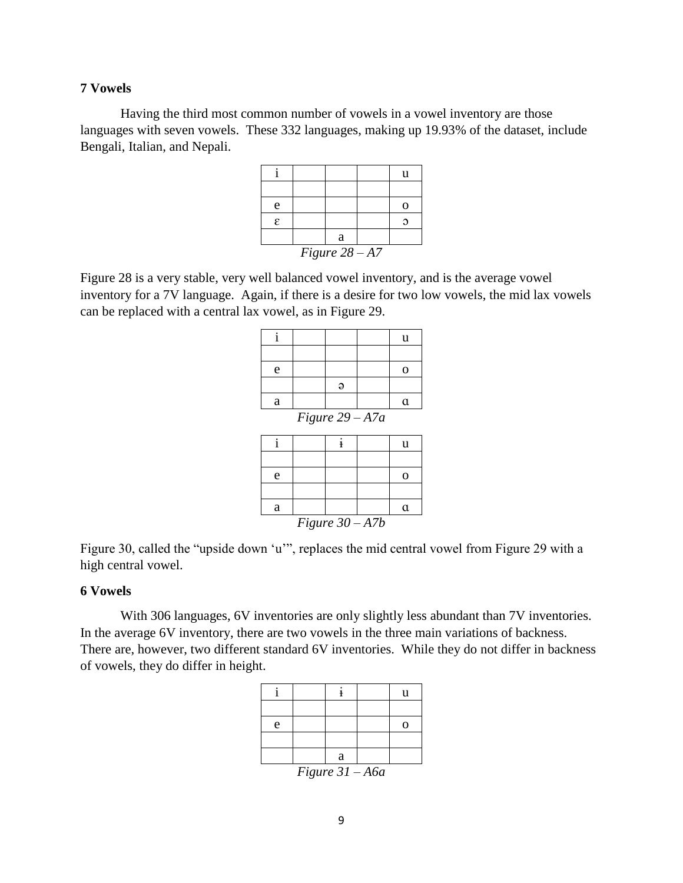Having the third most common number of vowels in a vowel inventory are those languages with seven vowels. These 332 languages, making up 19.93% of the dataset, include Bengali, Italian, and Nepali.

|                  |  |  |  | u              |  |
|------------------|--|--|--|----------------|--|
|                  |  |  |  |                |  |
| e                |  |  |  | $\blacksquare$ |  |
| ε                |  |  |  |                |  |
| a                |  |  |  |                |  |
| Figure $28 - A7$ |  |  |  |                |  |

Figure 28 is a very stable, very well balanced vowel inventory, and is the average vowel inventory for a 7V language. Again, if there is a desire for two low vowels, the mid lax vowels can be replaced with a central lax vowel, as in Figure 29.

| $\mathbf{i}$      |                   |              |  | u              |  |
|-------------------|-------------------|--------------|--|----------------|--|
|                   |                   |              |  |                |  |
| e                 |                   |              |  | $\overline{O}$ |  |
|                   |                   | $\Theta$     |  |                |  |
| a                 |                   |              |  | $\alpha$       |  |
|                   | Figure $29 - A7a$ |              |  |                |  |
| $\mathbf{i}$      |                   | $\mathbf{i}$ |  | u              |  |
|                   |                   |              |  |                |  |
| e                 |                   |              |  | $\mathbf 0$    |  |
|                   |                   |              |  |                |  |
| a                 |                   |              |  | $\alpha$       |  |
| Figure $30 - A7b$ |                   |              |  |                |  |

Figure 30, called the "upside down 'u'", replaces the mid central vowel from Figure 29 with a high central vowel.

## **6 Vowels**

With 306 languages, 6V inventories are only slightly less abundant than 7V inventories. In the average 6V inventory, there are two vowels in the three main variations of backness. There are, however, two different standard 6V inventories. While they do not differ in backness of vowels, they do differ in height.

|                   |  |   |  | u |
|-------------------|--|---|--|---|
|                   |  |   |  |   |
| e                 |  |   |  | C |
|                   |  |   |  |   |
|                   |  | a |  |   |
| Figure $31 - A6a$ |  |   |  |   |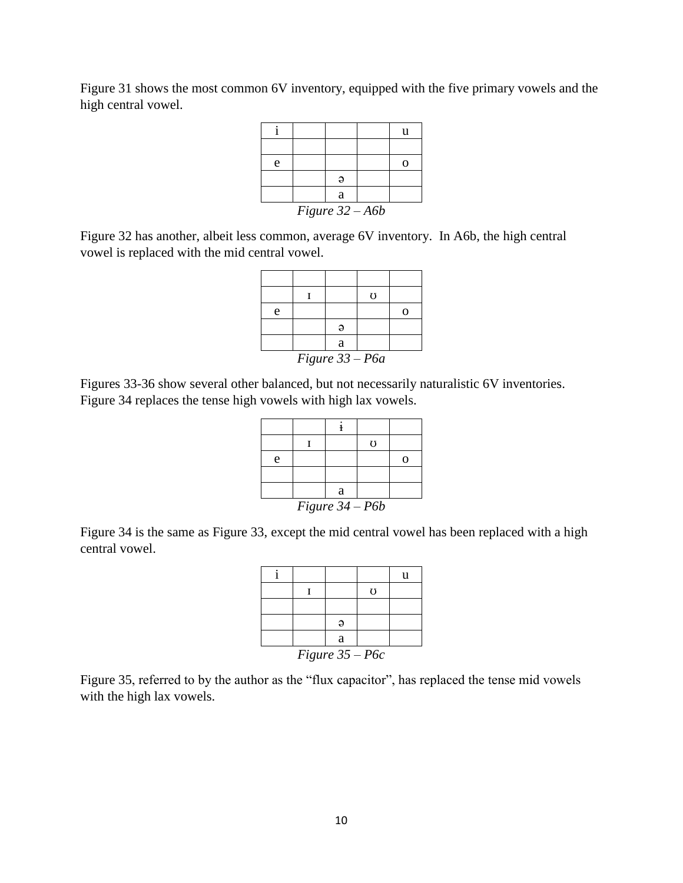Figure 31 shows the most common 6V inventory, equipped with the five primary vowels and the high central vowel.

|                   |  |   |  | u |
|-------------------|--|---|--|---|
|                   |  |   |  |   |
| e                 |  |   |  | ∩ |
|                   |  | э |  |   |
|                   |  | a |  |   |
| Figure $32 - A6b$ |  |   |  |   |

Figure 32 has another, albeit less common, average 6V inventory. In A6b, the high central vowel is replaced with the mid central vowel.

|                   |  |   | $\mathfrak{g}$ |  |
|-------------------|--|---|----------------|--|
| e                 |  |   |                |  |
|                   |  |   |                |  |
|                   |  | a |                |  |
| Figure $33 - P6a$ |  |   |                |  |

Figures 33-36 show several other balanced, but not necessarily naturalistic 6V inventories. Figure 34 replaces the tense high vowels with high lax vowels.

|                   |  |   | Ω |  |
|-------------------|--|---|---|--|
| e                 |  |   |   |  |
|                   |  |   |   |  |
|                   |  | a |   |  |
| Figure $34 - P6b$ |  |   |   |  |

Figure 34 is the same as Figure 33, except the mid central vowel has been replaced with a high central vowel.

|                   |  |   |   | u |
|-------------------|--|---|---|---|
|                   |  |   | U |   |
|                   |  |   |   |   |
|                   |  |   |   |   |
|                   |  | a |   |   |
| Figure $35 - P6c$ |  |   |   |   |

Figure 35, referred to by the author as the "flux capacitor", has replaced the tense mid vowels with the high lax vowels.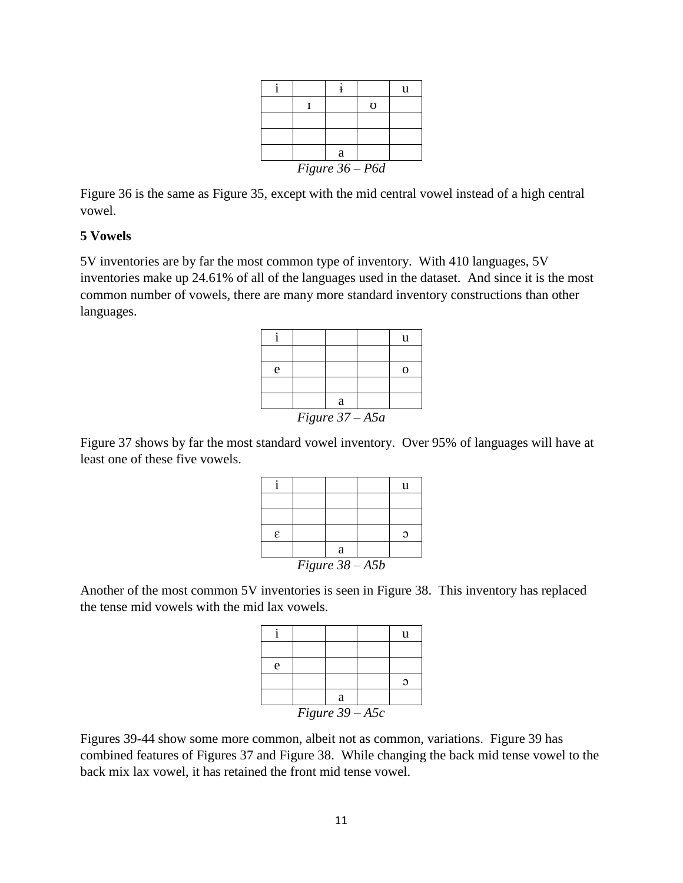|                   |  |   |                | 11 |
|-------------------|--|---|----------------|----|
|                   |  |   | $\mathfrak{g}$ |    |
|                   |  |   |                |    |
|                   |  |   |                |    |
|                   |  | a |                |    |
| Figure $36 - P6d$ |  |   |                |    |

Figure 36 is the same as Figure 35, except with the mid central vowel instead of a high central vowel.

# **5 Vowels**

5V inventories are by far the most common type of inventory. With 410 languages, 5V inventories make up 24.61% of all of the languages used in the dataset. And since it is the most common number of vowels, there are many more standard inventory constructions than other languages.

|                   |  |   |  | u |
|-------------------|--|---|--|---|
|                   |  |   |  |   |
| e                 |  |   |  |   |
|                   |  |   |  |   |
|                   |  | a |  |   |
| Figure $37 - A5a$ |  |   |  |   |

Figure 37 shows by far the most standard vowel inventory. Over 95% of languages will have at least one of these five vowels.

|                   |  |   |  | u |
|-------------------|--|---|--|---|
|                   |  |   |  |   |
|                   |  |   |  |   |
| ε                 |  |   |  | г |
|                   |  | a |  |   |
| Figure $38 - A5b$ |  |   |  |   |

Another of the most common 5V inventories is seen in Figure 38. This inventory has replaced the tense mid vowels with the mid lax vowels.

|                   |  |   |  | Н |
|-------------------|--|---|--|---|
|                   |  |   |  |   |
| e                 |  |   |  |   |
|                   |  |   |  |   |
|                   |  | a |  |   |
| Figure $39 - A5c$ |  |   |  |   |

Figures 39-44 show some more common, albeit not as common, variations. Figure 39 has combined features of Figures 37 and Figure 38. While changing the back mid tense vowel to the back mix lax vowel, it has retained the front mid tense vowel.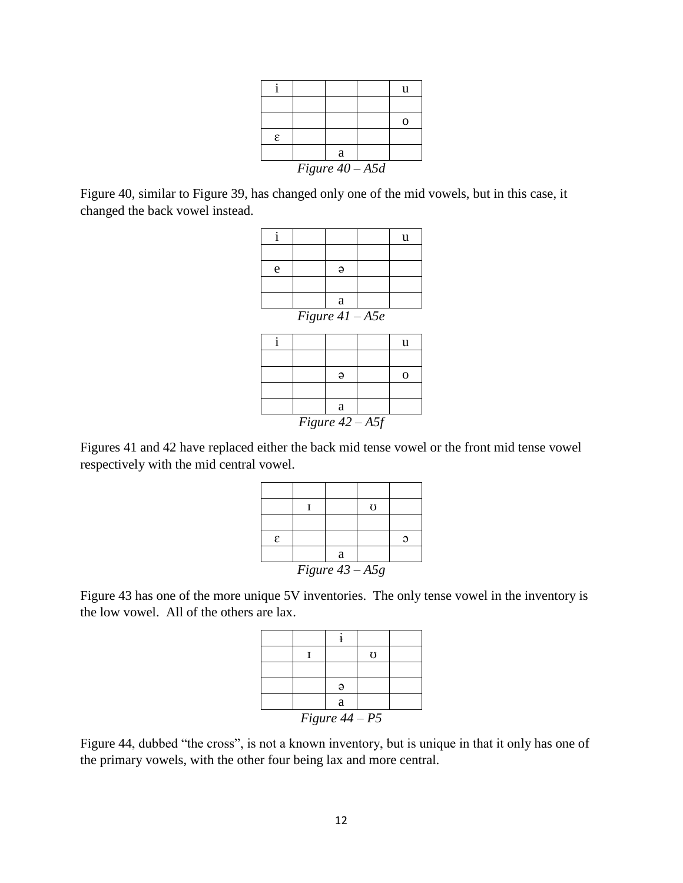|                   |  |   |  | u |
|-------------------|--|---|--|---|
|                   |  |   |  |   |
|                   |  |   |  | O |
| ε                 |  |   |  |   |
|                   |  | a |  |   |
| Figure $40 - A5d$ |  |   |  |   |

Figure 40, similar to Figure 39, has changed only one of the mid vowels, but in this case, it changed the back vowel instead.

|                   |  |   |  | 11 |
|-------------------|--|---|--|----|
|                   |  |   |  |    |
| e                 |  | Э |  |    |
|                   |  |   |  |    |
|                   |  | a |  |    |
| Figure $41 - A5e$ |  |   |  |    |

|                   |  | a |  |  |
|-------------------|--|---|--|--|
| Figure $42 - A5f$ |  |   |  |  |

Figures 41 and 42 have replaced either the back mid tense vowel or the front mid tense vowel respectively with the mid central vowel.

|                   |  |   | $\mathfrak{g}$ |  |
|-------------------|--|---|----------------|--|
|                   |  |   |                |  |
| $\epsilon$        |  |   |                |  |
|                   |  | a |                |  |
| Figure $43 - A5g$ |  |   |                |  |

Figure 43 has one of the more unique 5V inventories. The only tense vowel in the inventory is the low vowel. All of the others are lax.

|                  |  |   | $\mathfrak{g}$ |  |
|------------------|--|---|----------------|--|
|                  |  |   |                |  |
|                  |  |   |                |  |
|                  |  | a |                |  |
| Figure $44 - P5$ |  |   |                |  |

Figure 44, dubbed "the cross", is not a known inventory, but is unique in that it only has one of the primary vowels, with the other four being lax and more central.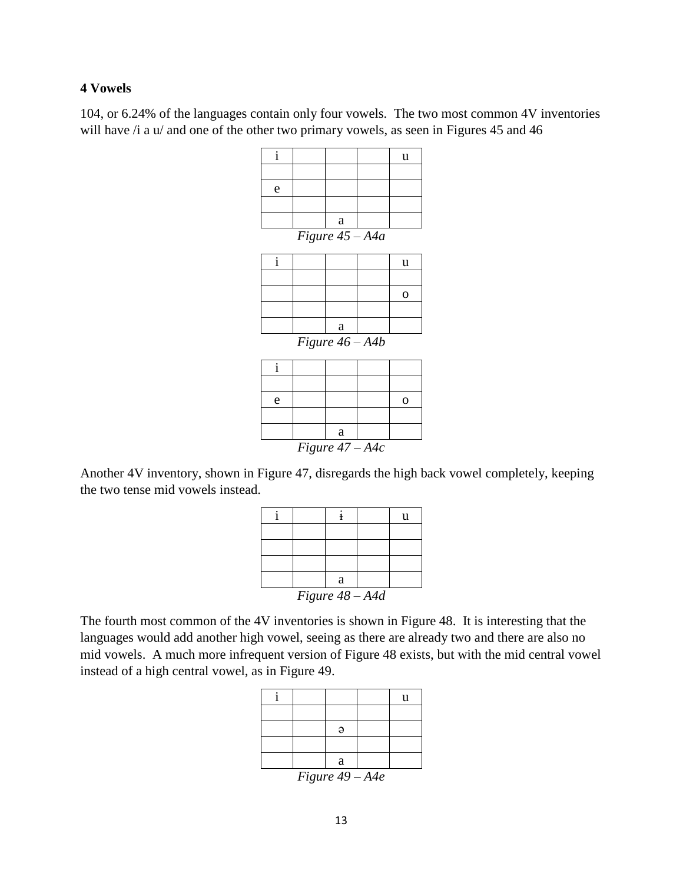104, or 6.24% of the languages contain only four vowels. The two most common 4V inventories will have  $\lambda$  i a u/ and one of the other two primary vowels, as seen in Figures 45 and 46

| $\mathbf{i}$ |                   | u           |
|--------------|-------------------|-------------|
|              |                   |             |
| e            |                   |             |
|              |                   |             |
|              | a                 |             |
|              | Figure $45 - A4a$ |             |
| $\mathbf{i}$ |                   | u           |
|              |                   |             |
|              |                   | $\mathbf 0$ |
|              |                   |             |
|              | a                 |             |
|              | Figure $46 - A4b$ |             |
| $\mathbf{i}$ |                   |             |
|              |                   |             |
| e            |                   | $\mathbf 0$ |
|              |                   |             |

Another 4V inventory, shown in Figure 47, disregards the high back vowel completely, keeping the two tense mid vowels instead.

a *Figure 47 – A4c*

|                 |  |   |  | u |
|-----------------|--|---|--|---|
|                 |  |   |  |   |
|                 |  |   |  |   |
|                 |  |   |  |   |
|                 |  | a |  |   |
| Figure 48 - A4d |  |   |  |   |

The fourth most common of the 4V inventories is shown in Figure 48. It is interesting that the languages would add another high vowel, seeing as there are already two and there are also no mid vowels. A much more infrequent version of Figure 48 exists, but with the mid central vowel instead of a high central vowel, as in Figure 49.

|    |        |                 | u |
|----|--------|-----------------|---|
|    |        |                 |   |
|    |        |                 |   |
|    |        |                 |   |
|    | a      |                 |   |
| -- | $\sim$ | $\cdot$ $\cdot$ |   |

*Figure 49 – A4e*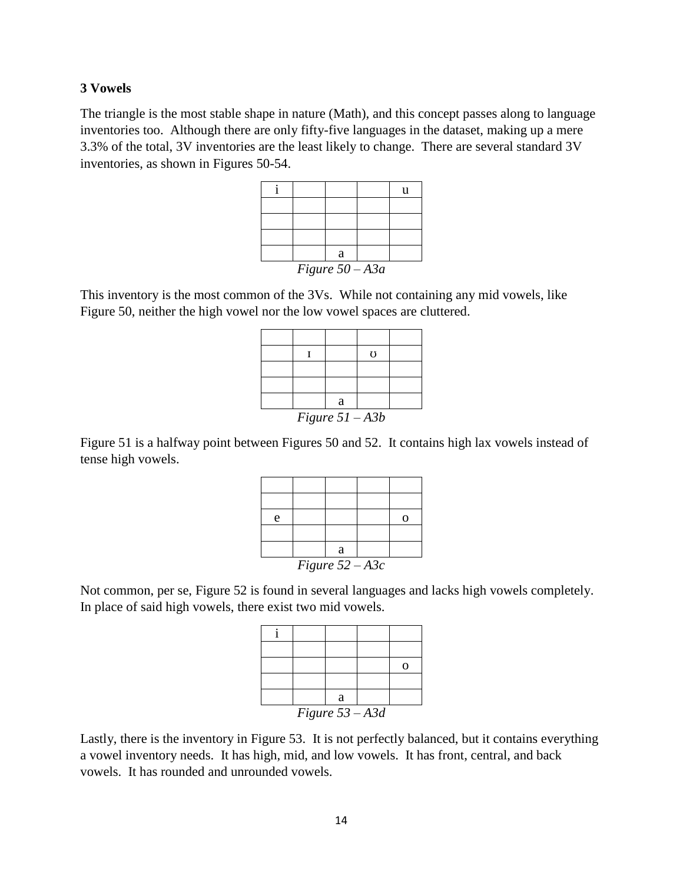The triangle is the most stable shape in nature (Math), and this concept passes along to language inventories too. Although there are only fifty-five languages in the dataset, making up a mere 3.3% of the total, 3V inventories are the least likely to change. There are several standard 3V inventories, as shown in Figures 50-54.

|                   |  |   |  | u |
|-------------------|--|---|--|---|
|                   |  |   |  |   |
|                   |  |   |  |   |
|                   |  |   |  |   |
|                   |  | a |  |   |
| Figure $50 - A3a$ |  |   |  |   |

This inventory is the most common of the 3Vs. While not containing any mid vowels, like Figure 50, neither the high vowel nor the low vowel spaces are cluttered.

|                   |  |   | U |  |
|-------------------|--|---|---|--|
|                   |  |   |   |  |
|                   |  |   |   |  |
|                   |  | a |   |  |
| Figure $51 - A3b$ |  |   |   |  |

Figure 51 is a halfway point between Figures 50 and 52. It contains high lax vowels instead of tense high vowels.

| e                 |  |   |  |  |
|-------------------|--|---|--|--|
|                   |  |   |  |  |
|                   |  | a |  |  |
| Figure $52 - A3c$ |  |   |  |  |

Not common, per se, Figure 52 is found in several languages and lacks high vowels completely. In place of said high vowels, there exist two mid vowels.

|                   |  | a |  |  |
|-------------------|--|---|--|--|
| Figure $53 - A3d$ |  |   |  |  |

Lastly, there is the inventory in Figure 53. It is not perfectly balanced, but it contains everything a vowel inventory needs. It has high, mid, and low vowels. It has front, central, and back vowels. It has rounded and unrounded vowels.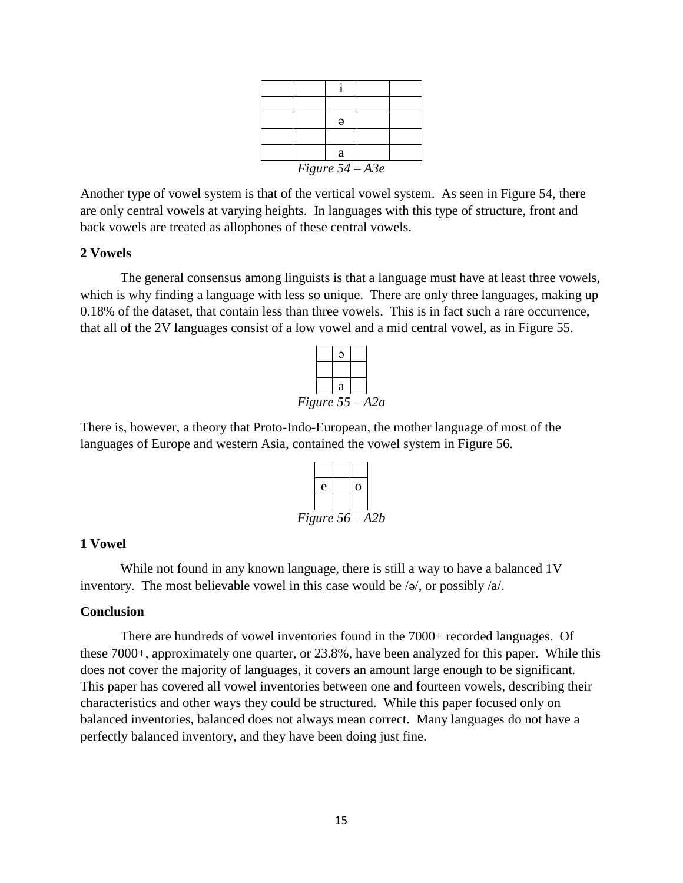|                   |  | a |  |  |
|-------------------|--|---|--|--|
| Figure $54 - A3e$ |  |   |  |  |

Another type of vowel system is that of the vertical vowel system. As seen in Figure 54, there are only central vowels at varying heights. In languages with this type of structure, front and back vowels are treated as allophones of these central vowels.

#### **2 Vowels**

The general consensus among linguists is that a language must have at least three vowels, which is why finding a language with less so unique. There are only three languages, making up 0.18% of the dataset, that contain less than three vowels. This is in fact such a rare occurrence, that all of the 2V languages consist of a low vowel and a mid central vowel, as in Figure 55.



There is, however, a theory that Proto-Indo-European, the mother language of most of the languages of Europe and western Asia, contained the vowel system in Figure 56.



### **1 Vowel**

While not found in any known language, there is still a way to have a balanced 1V inventory. The most believable vowel in this case would be /ə/, or possibly /a/.

#### **Conclusion**

There are hundreds of vowel inventories found in the 7000+ recorded languages. Of these 7000+, approximately one quarter, or 23.8%, have been analyzed for this paper. While this does not cover the majority of languages, it covers an amount large enough to be significant. This paper has covered all vowel inventories between one and fourteen vowels, describing their characteristics and other ways they could be structured. While this paper focused only on balanced inventories, balanced does not always mean correct. Many languages do not have a perfectly balanced inventory, and they have been doing just fine.